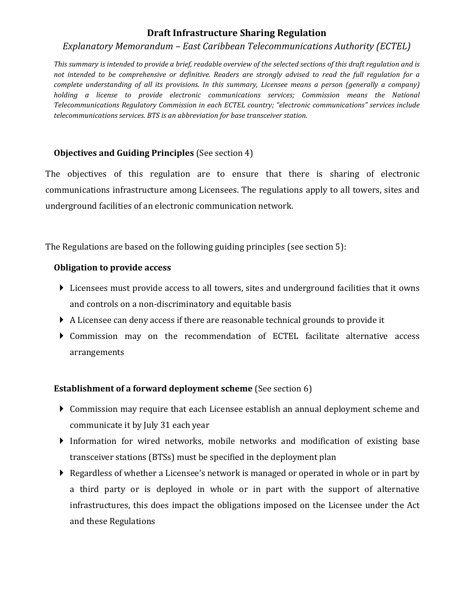# **Draft Infrastructure Sharing Regulation**

#### *Explanatory Memorandum – East Caribbean Telecommunications Authority (ECTEL)*

*This summary is intended to provide a brief, readable overview of the selected sections of this draft regulation and is not intended to be comprehensive or definitive. Readers are strongly advised to read the full regulation for a complete understanding of all its provisions. In this summary, Licensee means a person (generally a company) holding a license to provide electronic communications services; Commission means the National Telecommunications Regulatory Commission in each ECTEL country; "electronic communications" services include telecommunications services. BTS is an abbreviation for base transceiver station.* 

# **Objectives and Guiding Principles** (See section 4)

The objectives of this regulation are to ensure that there is sharing of electronic communications infrastructure among Licensees. The regulations apply to all towers, sites and underground facilities of an electronic communication network.

The Regulations are based on the following guiding principles (see section 5):

#### **Obligation to provide access**

- Licensees must provide access to all towers, sites and underground facilities that it owns and controls on a non-discriminatory and equitable basis
- A Licensee can deny access if there are reasonable technical grounds to provide it
- Commission may on the recommendation of ECTEL facilitate alternative access arrangements

# **Establishment of a forward deployment scheme** (See section 6)

- Commission may require that each Licensee establish an annual deployment scheme and communicate it by July 31 each year
- Information for wired networks, mobile networks and modification of existing base transceiver stations (BTSs) must be specified in the deployment plan
- Regardless of whether a Licensee's network is managed or operated in whole or in part by a third party or is deployed in whole or in part with the support of alternative infrastructures, this does impact the obligations imposed on the Licensee under the Act and these Regulations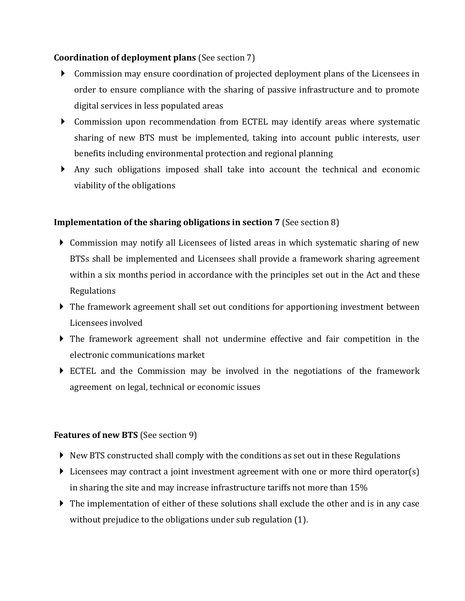### **Coordination of deployment plans** (See section 7)

- Commission may ensure coordination of projected deployment plans of the Licensees in order to ensure compliance with the sharing of passive infrastructure and to promote digital services in less populated areas
- Commission upon recommendation from ECTEL may identify areas where systematic sharing of new BTS must be implemented, taking into account public interests, user benefits including environmental protection and regional planning
- Any such obligations imposed shall take into account the technical and economic viability of the obligations

### **Implementation of the sharing obligations in section 7 (See section 8)**

- Commission may notify all Licensees of listed areas in which systematic sharing of new BTSs shall be implemented and Licensees shall provide a framework sharing agreement within a six months period in accordance with the principles set out in the Act and these Regulations
- The framework agreement shall set out conditions for apportioning investment between Licensees involved
- The framework agreement shall not undermine effective and fair competition in the electronic communications market
- ECTEL and the Commission may be involved in the negotiations of the framework agreement on legal, technical or economic issues

#### **Features of new BTS** (See section 9)

- $\triangleright$  New BTS constructed shall comply with the conditions as set out in these Regulations
- Licensees may contract a joint investment agreement with one or more third operator(s) in sharing the site and may increase infrastructure tariffs not more than 15%
- The implementation of either of these solutions shall exclude the other and is in any case without prejudice to the obligations under sub regulation (1).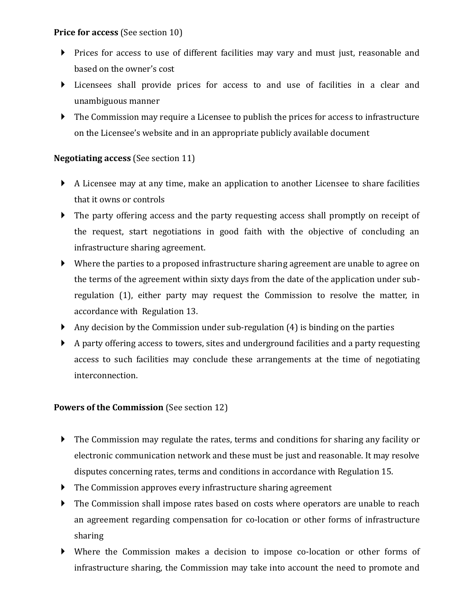### **Price for access** (See section 10)

- Prices for access to use of different facilities may vary and must just, reasonable and based on the owner's cost
- Licensees shall provide prices for access to and use of facilities in a clear and unambiguous manner
- The Commission may require a Licensee to publish the prices for access to infrastructure on the Licensee's website and in an appropriate publicly available document

# **Negotiating access** (See section 11)

- A Licensee may at any time, make an application to another Licensee to share facilities that it owns or controls
- The party offering access and the party requesting access shall promptly on receipt of the request, start negotiations in good faith with the objective of concluding an infrastructure sharing agreement.
- Where the parties to a proposed infrastructure sharing agreement are unable to agree on the terms of the agreement within sixty days from the date of the application under subregulation (1), either party may request the Commission to resolve the matter, in accordance with Regulation 13.
- Any decision by the Commission under sub-regulation  $(4)$  is binding on the parties
- A party offering access to towers, sites and underground facilities and a party requesting access to such facilities may conclude these arrangements at the time of negotiating interconnection.

# **Powers of the Commission** (See section 12)

- The Commission may regulate the rates, terms and conditions for sharing any facility or electronic communication network and these must be just and reasonable. It may resolve disputes concerning rates, terms and conditions in accordance with Regulation 15.
- The Commission approves every infrastructure sharing agreement
- The Commission shall impose rates based on costs where operators are unable to reach an agreement regarding compensation for co-location or other forms of infrastructure sharing
- Where the Commission makes a decision to impose co-location or other forms of infrastructure sharing, the Commission may take into account the need to promote and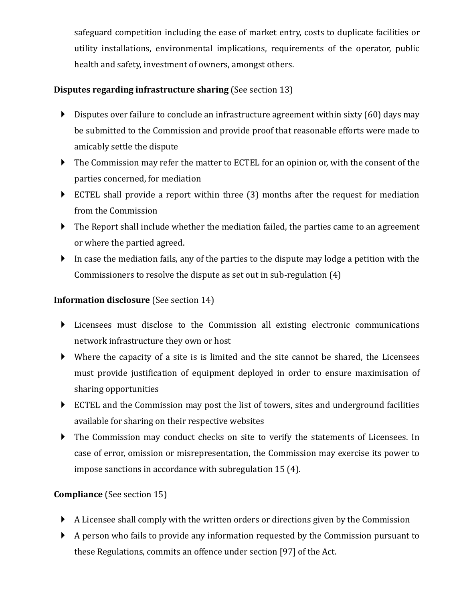safeguard competition including the ease of market entry, costs to duplicate facilities or utility installations, environmental implications, requirements of the operator, public health and safety, investment of owners, amongst others.

# **Disputes regarding infrastructure sharing** (See section 13)

- $\triangleright$  Disputes over failure to conclude an infrastructure agreement within sixty (60) days may be submitted to the Commission and provide proof that reasonable efforts were made to amicably settle the dispute
- The Commission may refer the matter to ECTEL for an opinion or, with the consent of the parties concerned, for mediation
- ECTEL shall provide a report within three (3) months after the request for mediation from the Commission
- The Report shall include whether the mediation failed, the parties came to an agreement or where the partied agreed.
- In case the mediation fails, any of the parties to the dispute may lodge a petition with the Commissioners to resolve the dispute as set out in sub-regulation (4)

# **Information disclosure** (See section 14)

- Licensees must disclose to the Commission all existing electronic communications network infrastructure they own or host
- Where the capacity of a site is is limited and the site cannot be shared, the Licensees must provide justification of equipment deployed in order to ensure maximisation of sharing opportunities
- ECTEL and the Commission may post the list of towers, sites and underground facilities available for sharing on their respective websites
- The Commission may conduct checks on site to verify the statements of Licensees. In case of error, omission or misrepresentation, the Commission may exercise its power to impose sanctions in accordance with subregulation 15 (4).

# **Compliance** (See section 15)

- A Licensee shall comply with the written orders or directions given by the Commission
- A person who fails to provide any information requested by the Commission pursuant to these Regulations, commits an offence under section [97] of the Act.